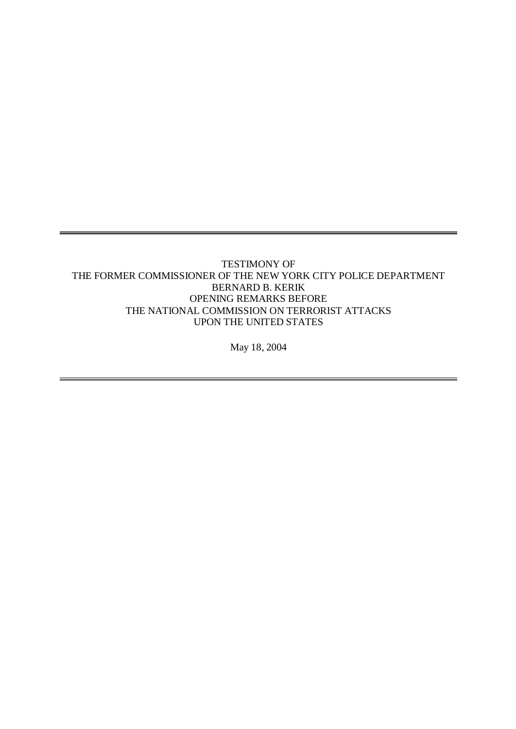## TESTIMONY OF THE FORMER COMMISSIONER OF THE NEW YORK CITY POLICE DEPARTMENT BERNARD B. KERIK OPENING REMARKS BEFORE THE NATIONAL COMMISSION ON TERRORIST ATTACKS UPON THE UNITED STATES

May 18, 2004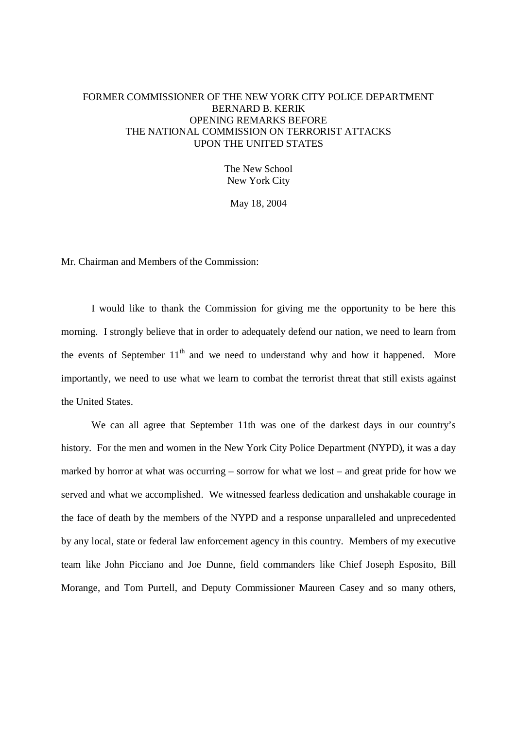## FORMER COMMISSIONER OF THE NEW YORK CITY POLICE DEPARTMENT BERNARD B. KERIK OPENING REMARKS BEFORE THE NATIONAL COMMISSION ON TERRORIST ATTACKS UPON THE UNITED STATES

The New School New York City

May 18, 2004

Mr. Chairman and Members of the Commission:

I would like to thank the Commission for giving me the opportunity to be here this morning. I strongly believe that in order to adequately defend our nation, we need to learn from the events of September  $11<sup>th</sup>$  and we need to understand why and how it happened. More importantly, we need to use what we learn to combat the terrorist threat that still exists against the United States.

We can all agree that September 11th was one of the darkest days in our country's history. For the men and women in the New York City Police Department (NYPD), it was a day marked by horror at what was occurring – sorrow for what we lost – and great pride for how we served and what we accomplished. We witnessed fearless dedication and unshakable courage in the face of death by the members of the NYPD and a response unparalleled and unprecedented by any local, state or federal law enforcement agency in this country. Members of my executive team like John Picciano and Joe Dunne, field commanders like Chief Joseph Esposito, Bill Morange, and Tom Purtell, and Deputy Commissioner Maureen Casey and so many others,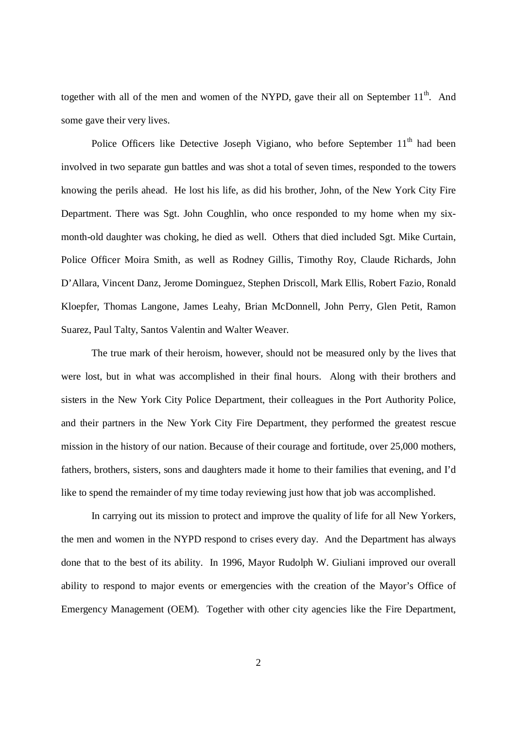together with all of the men and women of the NYPD, gave their all on September  $11<sup>th</sup>$ . And some gave their very lives.

Police Officers like Detective Joseph Vigiano, who before September  $11<sup>th</sup>$  had been involved in two separate gun battles and was shot a total of seven times, responded to the towers knowing the perils ahead. He lost his life, as did his brother, John, of the New York City Fire Department. There was Sgt. John Coughlin, who once responded to my home when my sixmonth-old daughter was choking, he died as well. Others that died included Sgt. Mike Curtain, Police Officer Moira Smith, as well as Rodney Gillis, Timothy Roy, Claude Richards, John D'Allara, Vincent Danz, Jerome Dominguez, Stephen Driscoll, Mark Ellis, Robert Fazio, Ronald Kloepfer, Thomas Langone, James Leahy, Brian McDonnell, John Perry, Glen Petit, Ramon Suarez, Paul Talty, Santos Valentin and Walter Weaver.

The true mark of their heroism, however, should not be measured only by the lives that were lost, but in what was accomplished in their final hours. Along with their brothers and sisters in the New York City Police Department, their colleagues in the Port Authority Police, and their partners in the New York City Fire Department, they performed the greatest rescue mission in the history of our nation. Because of their courage and fortitude, over 25,000 mothers, fathers, brothers, sisters, sons and daughters made it home to their families that evening, and I'd like to spend the remainder of my time today reviewing just how that job was accomplished.

In carrying out its mission to protect and improve the quality of life for all New Yorkers, the men and women in the NYPD respond to crises every day. And the Department has always done that to the best of its ability. In 1996, Mayor Rudolph W. Giuliani improved our overall ability to respond to major events or emergencies with the creation of the Mayor's Office of Emergency Management (OEM). Together with other city agencies like the Fire Department,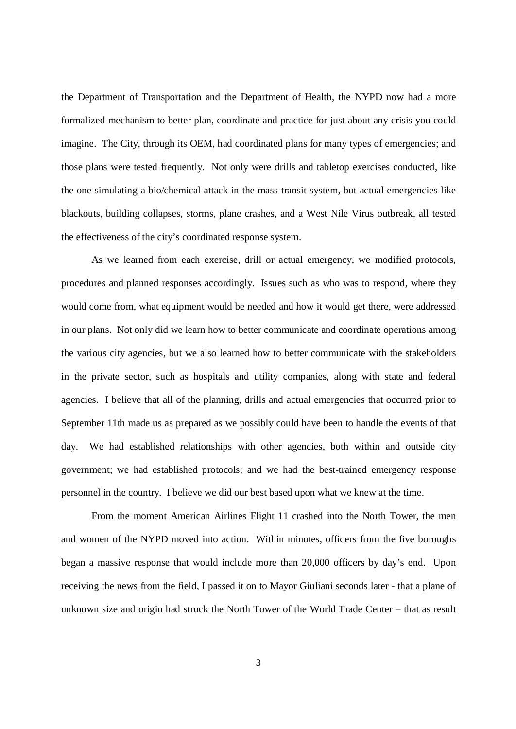the Department of Transportation and the Department of Health, the NYPD now had a more formalized mechanism to better plan, coordinate and practice for just about any crisis you could imagine. The City, through its OEM, had coordinated plans for many types of emergencies; and those plans were tested frequently. Not only were drills and tabletop exercises conducted, like the one simulating a bio/chemical attack in the mass transit system, but actual emergencies like blackouts, building collapses, storms, plane crashes, and a West Nile Virus outbreak, all tested the effectiveness of the city's coordinated response system.

As we learned from each exercise, drill or actual emergency, we modified protocols, procedures and planned responses accordingly. Issues such as who was to respond, where they would come from, what equipment would be needed and how it would get there, were addressed in our plans. Not only did we learn how to better communicate and coordinate operations among the various city agencies, but we also learned how to better communicate with the stakeholders in the private sector, such as hospitals and utility companies, along with state and federal agencies. I believe that all of the planning, drills and actual emergencies that occurred prior to September 11th made us as prepared as we possibly could have been to handle the events of that day. We had established relationships with other agencies, both within and outside city government; we had established protocols; and we had the best-trained emergency response personnel in the country. I believe we did our best based upon what we knew at the time.

From the moment American Airlines Flight 11 crashed into the North Tower, the men and women of the NYPD moved into action. Within minutes, officers from the five boroughs began a massive response that would include more than 20,000 officers by day's end. Upon receiving the news from the field, I passed it on to Mayor Giuliani seconds later - that a plane of unknown size and origin had struck the North Tower of the World Trade Center – that as result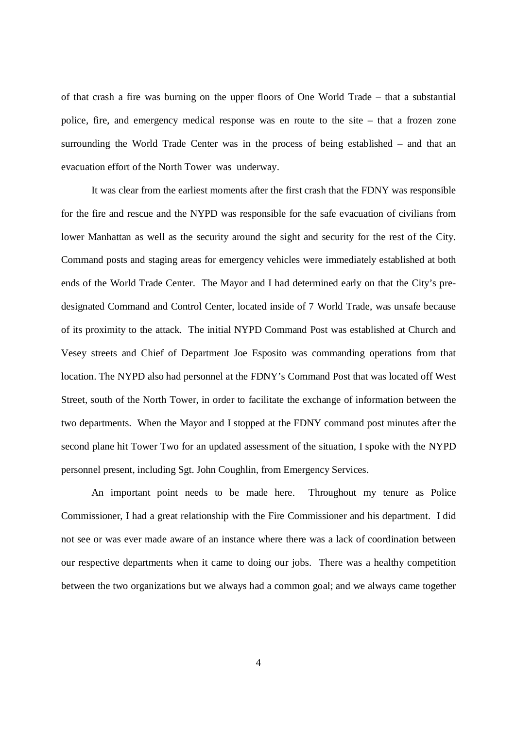of that crash a fire was burning on the upper floors of One World Trade – that a substantial police, fire, and emergency medical response was en route to the site – that a frozen zone surrounding the World Trade Center was in the process of being established – and that an evacuation effort of the North Tower was underway.

It was clear from the earliest moments after the first crash that the FDNY was responsible for the fire and rescue and the NYPD was responsible for the safe evacuation of civilians from lower Manhattan as well as the security around the sight and security for the rest of the City. Command posts and staging areas for emergency vehicles were immediately established at both ends of the World Trade Center. The Mayor and I had determined early on that the City's predesignated Command and Control Center, located inside of 7 World Trade, was unsafe because of its proximity to the attack. The initial NYPD Command Post was established at Church and Vesey streets and Chief of Department Joe Esposito was commanding operations from that location. The NYPD also had personnel at the FDNY's Command Post that was located off West Street, south of the North Tower, in order to facilitate the exchange of information between the two departments. When the Mayor and I stopped at the FDNY command post minutes after the second plane hit Tower Two for an updated assessment of the situation, I spoke with the NYPD personnel present, including Sgt. John Coughlin, from Emergency Services.

An important point needs to be made here. Throughout my tenure as Police Commissioner, I had a great relationship with the Fire Commissioner and his department. I did not see or was ever made aware of an instance where there was a lack of coordination between our respective departments when it came to doing our jobs. There was a healthy competition between the two organizations but we always had a common goal; and we always came together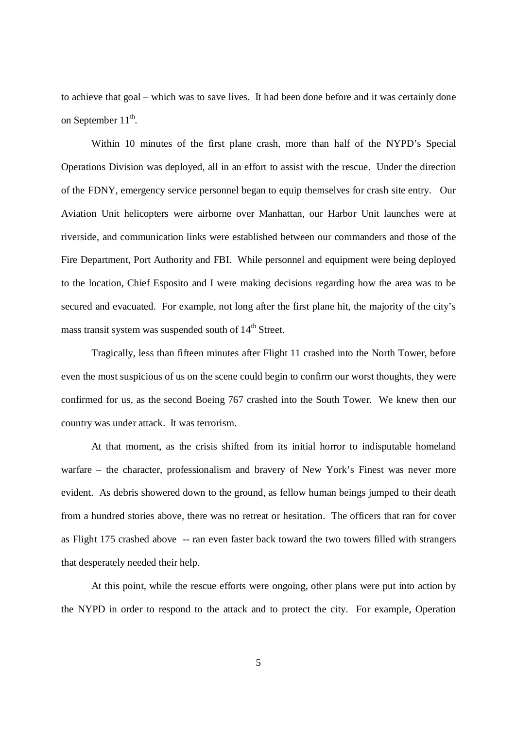to achieve that goal – which was to save lives. It had been done before and it was certainly done on September  $11^{\text{th}}$ .

Within 10 minutes of the first plane crash, more than half of the NYPD's Special Operations Division was deployed, all in an effort to assist with the rescue. Under the direction of the FDNY, emergency service personnel began to equip themselves for crash site entry. Our Aviation Unit helicopters were airborne over Manhattan, our Harbor Unit launches were at riverside, and communication links were established between our commanders and those of the Fire Department, Port Authority and FBI. While personnel and equipment were being deployed to the location, Chief Esposito and I were making decisions regarding how the area was to be secured and evacuated. For example, not long after the first plane hit, the majority of the city's mass transit system was suspended south of  $14<sup>th</sup>$  Street.

Tragically, less than fifteen minutes after Flight 11 crashed into the North Tower, before even the most suspicious of us on the scene could begin to confirm our worst thoughts, they were confirmed for us, as the second Boeing 767 crashed into the South Tower. We knew then our country was under attack. It was terrorism.

At that moment, as the crisis shifted from its initial horror to indisputable homeland warfare – the character, professionalism and bravery of New York's Finest was never more evident. As debris showered down to the ground, as fellow human beings jumped to their death from a hundred stories above, there was no retreat or hesitation. The officers that ran for cover as Flight 175 crashed above -- ran even faster back toward the two towers filled with strangers that desperately needed their help.

At this point, while the rescue efforts were ongoing, other plans were put into action by the NYPD in order to respond to the attack and to protect the city. For example, Operation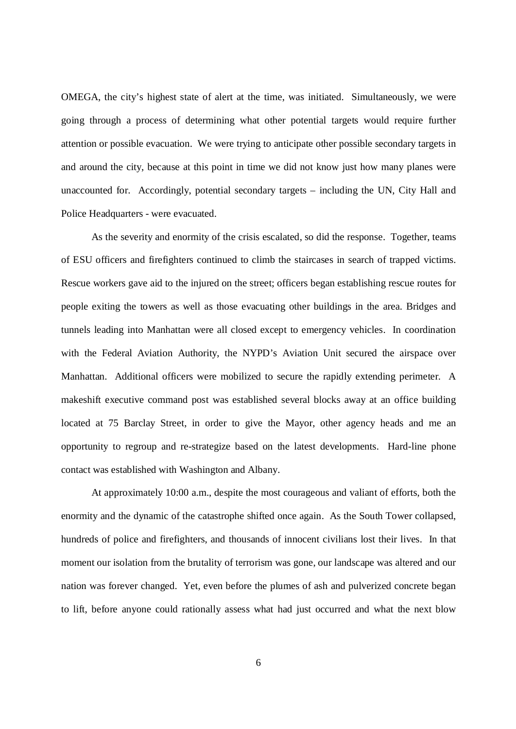OMEGA, the city's highest state of alert at the time, was initiated. Simultaneously, we were going through a process of determining what other potential targets would require further attention or possible evacuation. We were trying to anticipate other possible secondary targets in and around the city, because at this point in time we did not know just how many planes were unaccounted for. Accordingly, potential secondary targets – including the UN, City Hall and Police Headquarters - were evacuated.

As the severity and enormity of the crisis escalated, so did the response. Together, teams of ESU officers and firefighters continued to climb the staircases in search of trapped victims. Rescue workers gave aid to the injured on the street; officers began establishing rescue routes for people exiting the towers as well as those evacuating other buildings in the area. Bridges and tunnels leading into Manhattan were all closed except to emergency vehicles. In coordination with the Federal Aviation Authority, the NYPD's Aviation Unit secured the airspace over Manhattan. Additional officers were mobilized to secure the rapidly extending perimeter. A makeshift executive command post was established several blocks away at an office building located at 75 Barclay Street, in order to give the Mayor, other agency heads and me an opportunity to regroup and re-strategize based on the latest developments. Hard-line phone contact was established with Washington and Albany.

At approximately 10:00 a.m., despite the most courageous and valiant of efforts, both the enormity and the dynamic of the catastrophe shifted once again. As the South Tower collapsed, hundreds of police and firefighters, and thousands of innocent civilians lost their lives. In that moment our isolation from the brutality of terrorism was gone, our landscape was altered and our nation was forever changed. Yet, even before the plumes of ash and pulverized concrete began to lift, before anyone could rationally assess what had just occurred and what the next blow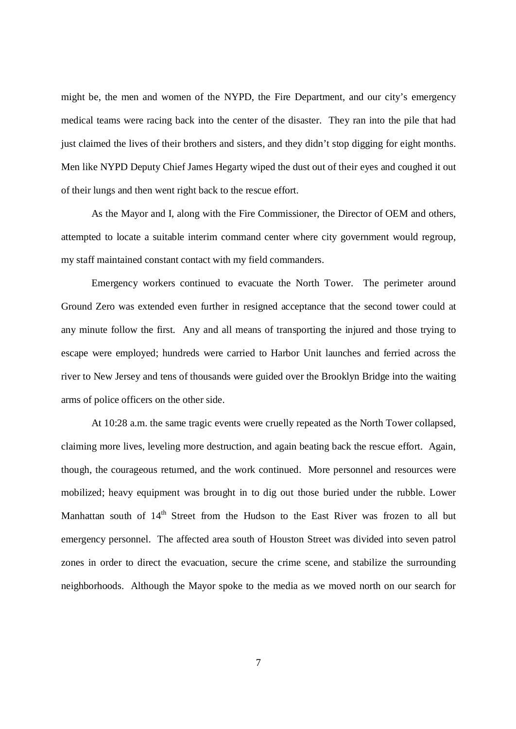might be, the men and women of the NYPD, the Fire Department, and our city's emergency medical teams were racing back into the center of the disaster. They ran into the pile that had just claimed the lives of their brothers and sisters, and they didn't stop digging for eight months. Men like NYPD Deputy Chief James Hegarty wiped the dust out of their eyes and coughed it out of their lungs and then went right back to the rescue effort.

As the Mayor and I, along with the Fire Commissioner, the Director of OEM and others, attempted to locate a suitable interim command center where city government would regroup, my staff maintained constant contact with my field commanders.

Emergency workers continued to evacuate the North Tower. The perimeter around Ground Zero was extended even further in resigned acceptance that the second tower could at any minute follow the first. Any and all means of transporting the injured and those trying to escape were employed; hundreds were carried to Harbor Unit launches and ferried across the river to New Jersey and tens of thousands were guided over the Brooklyn Bridge into the waiting arms of police officers on the other side.

At 10:28 a.m. the same tragic events were cruelly repeated as the North Tower collapsed, claiming more lives, leveling more destruction, and again beating back the rescue effort. Again, though, the courageous returned, and the work continued. More personnel and resources were mobilized; heavy equipment was brought in to dig out those buried under the rubble. Lower Manhattan south of  $14<sup>th</sup>$  Street from the Hudson to the East River was frozen to all but emergency personnel. The affected area south of Houston Street was divided into seven patrol zones in order to direct the evacuation, secure the crime scene, and stabilize the surrounding neighborhoods. Although the Mayor spoke to the media as we moved north on our search for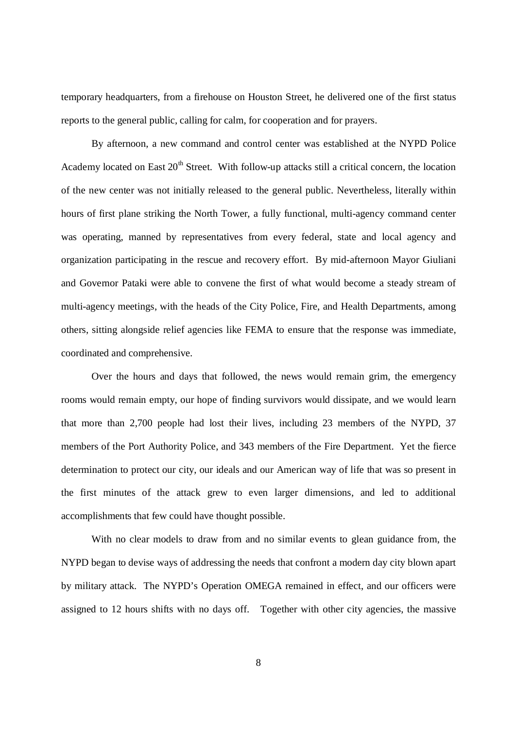temporary headquarters, from a firehouse on Houston Street, he delivered one of the first status reports to the general public, calling for calm, for cooperation and for prayers.

By afternoon, a new command and control center was established at the NYPD Police Academy located on East  $20<sup>th</sup>$  Street. With follow-up attacks still a critical concern, the location of the new center was not initially released to the general public. Nevertheless, literally within hours of first plane striking the North Tower, a fully functional, multi-agency command center was operating, manned by representatives from every federal, state and local agency and organization participating in the rescue and recovery effort. By mid-afternoon Mayor Giuliani and Governor Pataki were able to convene the first of what would become a steady stream of multi-agency meetings, with the heads of the City Police, Fire, and Health Departments, among others, sitting alongside relief agencies like FEMA to ensure that the response was immediate, coordinated and comprehensive.

Over the hours and days that followed, the news would remain grim, the emergency rooms would remain empty, our hope of finding survivors would dissipate, and we would learn that more than 2,700 people had lost their lives, including 23 members of the NYPD, 37 members of the Port Authority Police, and 343 members of the Fire Department. Yet the fierce determination to protect our city, our ideals and our American way of life that was so present in the first minutes of the attack grew to even larger dimensions, and led to additional accomplishments that few could have thought possible.

With no clear models to draw from and no similar events to glean guidance from, the NYPD began to devise ways of addressing the needs that confront a modern day city blown apart by military attack. The NYPD's Operation OMEGA remained in effect, and our officers were assigned to 12 hours shifts with no days off. Together with other city agencies, the massive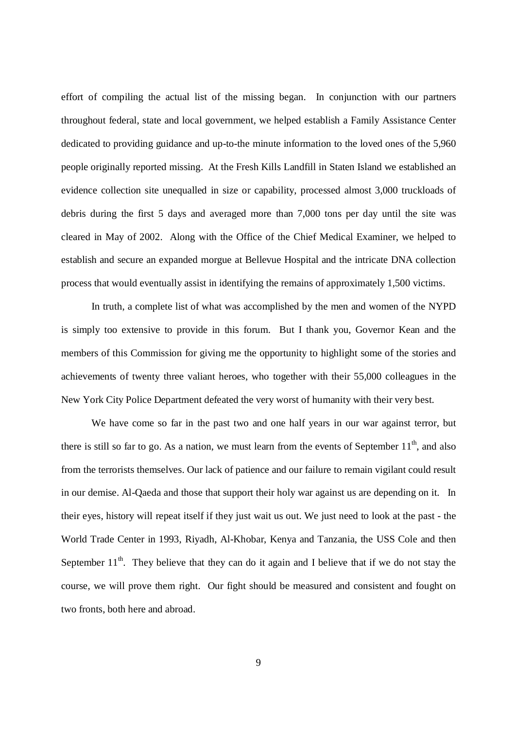effort of compiling the actual list of the missing began. In conjunction with our partners throughout federal, state and local government, we helped establish a Family Assistance Center dedicated to providing guidance and up-to-the minute information to the loved ones of the 5,960 people originally reported missing. At the Fresh Kills Landfill in Staten Island we established an evidence collection site unequalled in size or capability, processed almost 3,000 truckloads of debris during the first 5 days and averaged more than 7,000 tons per day until the site was cleared in May of 2002. Along with the Office of the Chief Medical Examiner, we helped to establish and secure an expanded morgue at Bellevue Hospital and the intricate DNA collection process that would eventually assist in identifying the remains of approximately 1,500 victims.

In truth, a complete list of what was accomplished by the men and women of the NYPD is simply too extensive to provide in this forum. But I thank you, Governor Kean and the members of this Commission for giving me the opportunity to highlight some of the stories and achievements of twenty three valiant heroes, who together with their 55,000 colleagues in the New York City Police Department defeated the very worst of humanity with their very best.

We have come so far in the past two and one half years in our war against terror, but there is still so far to go. As a nation, we must learn from the events of September  $11<sup>th</sup>$ , and also from the terrorists themselves. Our lack of patience and our failure to remain vigilant could result in our demise. Al-Qaeda and those that support their holy war against us are depending on it. In their eyes, history will repeat itself if they just wait us out. We just need to look at the past - the World Trade Center in 1993, Riyadh, Al-Khobar, Kenya and Tanzania, the USS Cole and then September  $11<sup>th</sup>$ . They believe that they can do it again and I believe that if we do not stay the course, we will prove them right. Our fight should be measured and consistent and fought on two fronts, both here and abroad.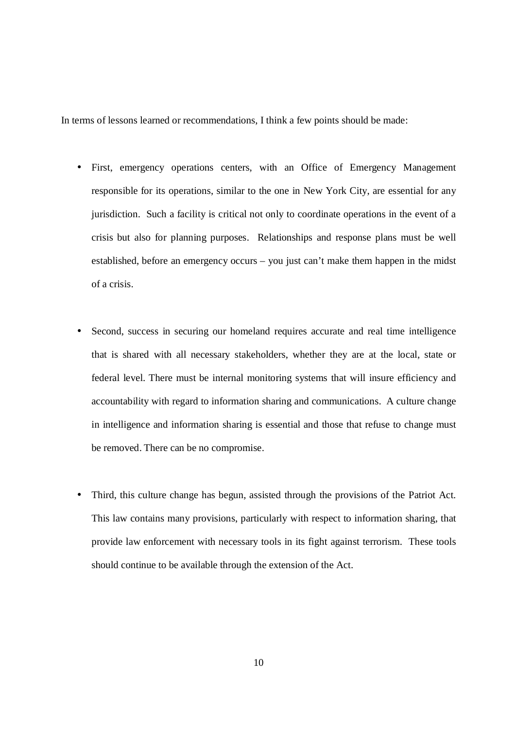In terms of lessons learned or recommendations, I think a few points should be made:

- First, emergency operations centers, with an Office of Emergency Management responsible for its operations, similar to the one in New York City, are essential for any jurisdiction. Such a facility is critical not only to coordinate operations in the event of a crisis but also for planning purposes. Relationships and response plans must be well established, before an emergency occurs – you just can't make them happen in the midst of a crisis.
- Second, success in securing our homeland requires accurate and real time intelligence that is shared with all necessary stakeholders, whether they are at the local, state or federal level. There must be internal monitoring systems that will insure efficiency and accountability with regard to information sharing and communications. A culture change in intelligence and information sharing is essential and those that refuse to change must be removed. There can be no compromise.
- Third, this culture change has begun, assisted through the provisions of the Patriot Act. This law contains many provisions, particularly with respect to information sharing, that provide law enforcement with necessary tools in its fight against terrorism. These tools should continue to be available through the extension of the Act.